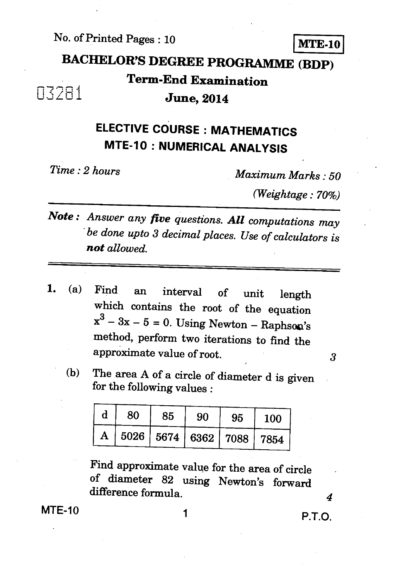No. of Printed Pages : 10 **ArrE-10** 

# **BACHELOR'S DEGREE PROGRAMME (BDP) Term-End Examination**

**r** 1

#### 1 • **3, June, 2014**

## **ELECTIVE COURSE : MATHEMATICS MTE-10 : NUMERICAL ANALYSIS**

*Time : 2 hours Maximum Marks : 50* 

*(Weightage : 70%)* 

- *Note : Answer any five questions. All computations may " be done upto 3 decimal places. Use of calculators is not allowed.*
- 1. (a) Find an interval of unit length which contains the root of the equation  $x^3 - 3x - 5 = 0$ . Using Newton – Raphson's method, perform two iterations to find the approximate value of root.
	- (b) The area A of a circle of diameter d is given for the following values :

| d | 80 | 85 | 90 | 95 | <b>100</b>                       |
|---|----|----|----|----|----------------------------------|
| A |    |    |    |    | 5026   5674   6362   7088   7854 |

Find approximate value for the area of circle of diameter 82 using Newton's forward difference formula.

 $MTE-10$  1 P.T.O.

*4*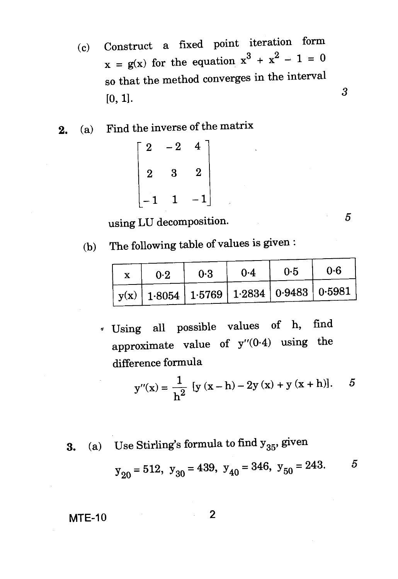- (c) Construct a fixed point iteration form  $x = g(x)$  for the equation  $x^3 + x^2 - 1 = 0$ so that the method converges in the interval  $[0, 1].$  3
- 2. (a) Find the inverse of the matrix

$$
\begin{bmatrix} 2 & -2 & 4 \ 2 & 3 & 2 \ -1 & 1 & -1 \end{bmatrix}
$$

using LU decomposition. 5

(b) The following table of values is given :

| 0.2 | 0.3 | 0.4 | 0.5 | 0.6                                                                                      |
|-----|-----|-----|-----|------------------------------------------------------------------------------------------|
|     |     |     |     | $\mid$ y(x) $\mid$ 1·8054 $\mid$ 1·5769 $\mid$ 1·2834 $\mid$ 0·9483 $\mid$ 0·5981 $\mid$ |

Using all possible values of h, find approximate value of  $y''(0.4)$  using the difference formula

$$
y''(x) = \frac{1}{h^2} [y (x - h) - 2y (x) + y (x + h)]. \quad 5
$$

**3.** (a) Use Stirling's formula to find  $y_{35}$ , given

Use Stirling's formula to find 
$$
y_{35}
$$
, given  
\n $y_{20} = 512$ ,  $y_{30} = 439$ ,  $y_{40} = 346$ ,  $y_{50} = 243$ .

$$
MTE-10 \qquad \qquad 2
$$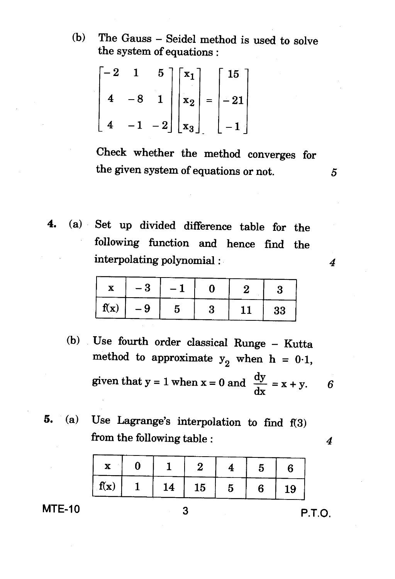(b) The Gauss — Seidel method is used to solve the system of equations :

$$
\begin{bmatrix} -2 & 1 & 5 \\ 4 & -8 & 1 \\ 4 & -1 & -2 \end{bmatrix} \begin{bmatrix} x_1 \\ x_2 \\ x_3 \end{bmatrix} = \begin{bmatrix} 15 \\ -21 \\ -1 \end{bmatrix}
$$

Check whether the method converges for the given system of equations or not. *5* 

4. (a) Set up divided difference table for the following function and hence find the interpolating polynomial :

|      | - 9 |  |    |    |
|------|-----|--|----|----|
| f(x) | - 9 |  | 11 | 33 |

- (b) Use fourth order classical Runge Kutta method to approximate  $y_2$  when h = 0.1, given that  $y = 1$  when  $x = 0$  and  $\frac{dy}{dx} = x + y$ . 6
- 5. (a) Use Lagrange's interpolation to find f(3) from the following table :  $\frac{4}{4}$

| $\mathbf{x}$ |    | -2                       | Ð. | რ. |
|--------------|----|--------------------------|----|----|
| $\int f(x)$  | 14 | $^{\circ}$ 15 $^{\circ}$ | 6. | 19 |

**MTE-10** 3 **P.T.O.** 

 $\boldsymbol{4}$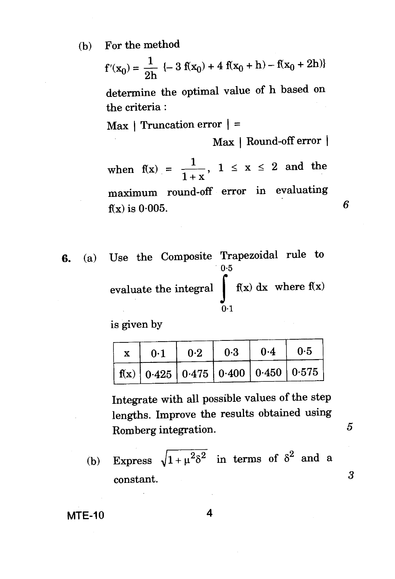(b) For the method

$$
f'(x_0) = \frac{1}{2h} \{-3 f(x_0) + 4 f(x_0 + h) - f(x_0 + 2h)\}
$$

determine the optimal value of h based on the criteria :

 $Max$  | Truncation error  $\vert$  =

Max | Round-off error |

6

5

when  $f(x) = \frac{1}{1+x}$ ,  $1 \le x \le 2$  and the maximum round-off error in evaluating  $f(x)$  is 0.005.

**6.** (a) Use the Composite Trapezoidal rule to  $0.5$ evaluate the integral  $\int_{0}^{x} f(x) dx$  where  $f(x)$  $0.1$ 

is given by

| $\mathbf{x}$ | 0.1 |  |                                                                                     |
|--------------|-----|--|-------------------------------------------------------------------------------------|
|              |     |  | $\mid$ f(x) $\mid$ 0.425 $\mid$ 0.475 $\mid$ 0.400 $\mid$ 0.450 $\mid$ 0.575 $\mid$ |

Integrate with all possible values of the step lengths. Improve the results obtained using Romberg integration.

(b) Express  $\sqrt{1+\mu^2\delta^2}$  in terms of  $\delta^2$  and a constant. *3* 

**MTE-10 4**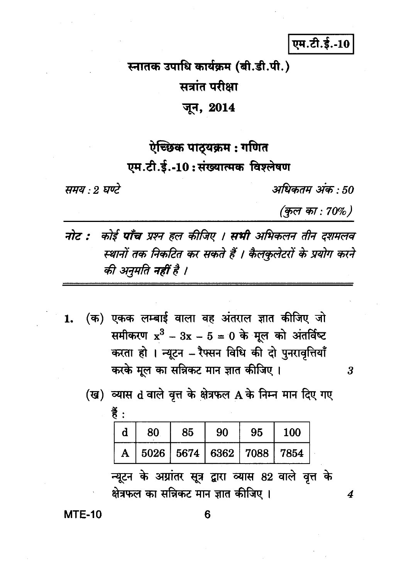### एम.टी.ई.-10

# स्नातक उपाधि कार्यक्रम (बी.डी.पी.) सत्रांत परीक्षा जून, 2014

## ऐच्छिक पाठ्यक्रम : गणित एम.टी.ई.-10:संख्यात्मक विश्लेषण

समय : २ घण्टे

अधिकतम् अंक · 50

(कुल का : 70%)

3

4

- नोट : कोई पाँच प्रश्न हल कीजिए । सभी अभिकलन तीन दशमलव स्थानों तक निकटित कर सकते हैं । कैलकुलेटरों के प्रयोग करने की अनुमति नहीं है ।
- (क) एकक लम्बाई वाला वह अंतराल ज्ञात कीजिए जो 1. समीकरण  $x^3 - 3x - 5 = 0$  के मूल को अंतर्विष्ट करता हो । न्यूटन - रैफ्सन विधि की दो पुनरावृत्तियाँ करके मूल का सन्निकट मान ज्ञात कीजिए ।
	- हैं :  $\mathbf d$ 100 80 85 90 95 5026 5674 6362 7088 7854 A

(ख) व्यास d वाले वृत्त के क्षेत्रफल A के निम्न मान दिए गए

न्यूटन के अग्रांतर सूत्र द्वारा व्यास 82 वाले वृत्त के क्षेत्रफल का सन्निकट मान ज्ञात कीजिए ।

**MTE-10**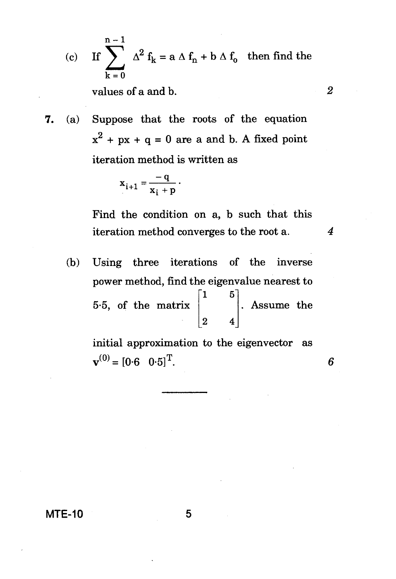(c) If  $\sum_{k=1}^{n-1} \Delta^2 f_k = a \Delta f_n + b \Delta f_0$  then find the  $k = 0$ 

values of a and b. *2* 

**7.** (a) Suppose that the roots of the equation  $x^{2}$  + px + q = 0 are a and b. A fixed point iteration method is written as

$$
x_{i+1} = \frac{-q}{x_i + p}.
$$

Find the condition on a, b such that this iteration method converges to the root a. *4* 

**(b)** Using three iterations of the inverse power method, find the eigenvalue nearest to 1 5 5.5, of the matrix  $\begin{bmatrix} 2 & 4 \end{bmatrix}$ . Assume the

> initial approximation to the eigenvector as  $\mathbf{v}^{(0)} = [0.6 \quad 0.5]^{\mathrm{T}}$ .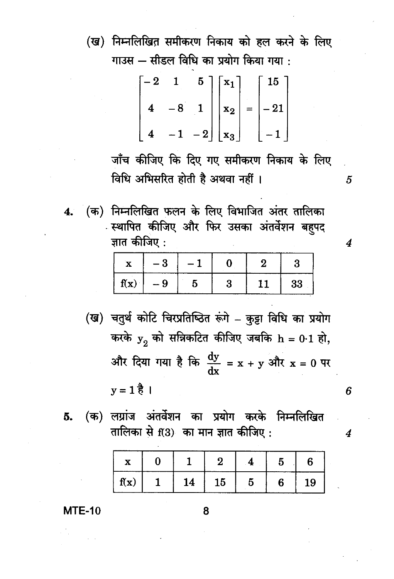(ख) निम्नलिखित समीकरण निकाय को हल करने के लिए गाउस - सीडल विधि का प्रयोग किया गया :

$$
\begin{bmatrix} -2 & 1 & 5 \\ 4 & -8 & 1 \\ 4 & -1 & -2 \end{bmatrix} \begin{bmatrix} x_1 \\ x_2 \\ x_3 \end{bmatrix} = \begin{bmatrix} 15 \\ -21 \\ -1 \end{bmatrix}
$$

जाँच कीजिए कि दिए गए समीकरण निकाय के लिए विधि अभिसरित होती है अथवा नहीं ।

(क) निम्नलिखित फलन के लिए विभाजित अंतर तालिका  $4.$ **स्थापित कीजिए और फिर उसका अंतर्वेशन बहपद** ज्ञात कीजिए :

 $\boldsymbol{4}$ 

6

4

5

|             | - 3 |  |    |
|-------------|-----|--|----|
| $\int f(x)$ | - 9 |  | 33 |

- (ख) चतुर्थ कोटि चिरप्रतिष्ठित रूंगे कुट्टा विधि का प्रयोग करके  $y_2$  को सन्निकटित कीजिए जबकि  $h = 0.1$  हो, और दिया गया है कि  $\frac{dy}{dx} = x + y$  और  $x = 0$  पर  $y = 1 \frac{3}{6}$
- (क) लग्रांज अंतर्वेशन का प्रयोग करके निम्नलिखित 5. तालिका से f(3) का मान ज्ञात कीजिए :

| X    |    | 61 |   |    |
|------|----|----|---|----|
| f(x) | 14 | 15 | ñ | 19 |

 $MTE-10$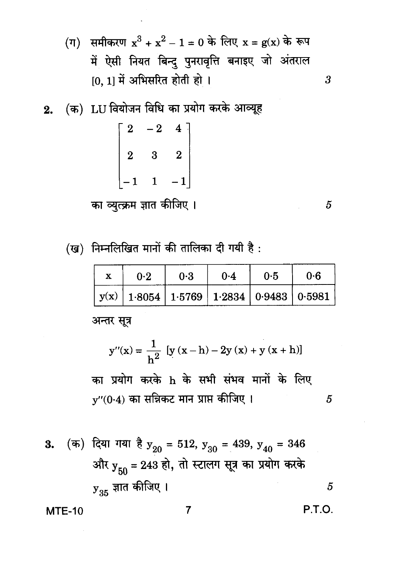- (ग) समीकरण  $x^3 + x^2 1 = 0$  के लिए  $x = g(x)$  के रूप में ऐसी नियत बिन्दु पुनरावृत्ति बनाइए जो अंतराल  $[0, 1]$  में अभिसरित होती हो।
- 2. (क) LU वियोजन विधि का प्रयोग करके आव्यूह

$$
\begin{bmatrix} 2 & -2 & 4 \ 2 & 3 & 2 \ -1 & 1 & -1 \end{bmatrix}
$$

का व्युत्क्रम ज्ञात कीजिए ।

(ख) निम्नलिखित मानों की तालिका दी गयी है:

|  | 0.2 | 0.3 | $0-4$                                               | 0.5 | በ ብ |
|--|-----|-----|-----------------------------------------------------|-----|-----|
|  |     |     | $y(x)   1.8054   1.5769   1.2834   0.9483   0.5981$ |     |     |

अन्तर सूत्र

$$
y''(x) = \frac{1}{h^2} [y (x - h) - 2y (x) + y (x + h)]
$$

का प्रयोग करके h के सभी संभव मानों के लिए  $y''(0.4)$  का सन्निकट मान प्राप्त कीजिए ।  $\overline{5}$ 

3. (क) दिया गया है 
$$
y_{20} = 512
$$
,  $y_{30} = 439$ ,  $y_{40} = 346$   
ओर  $y_{50} = 243$  हो, तो स्टालग सूत्र का प्रयोग करके $y_{35}$  ज्ञात कीजिए ।

 $\overline{7}$ 

**MTE-10** 

 $\overline{5}$ 

 $\overline{3}$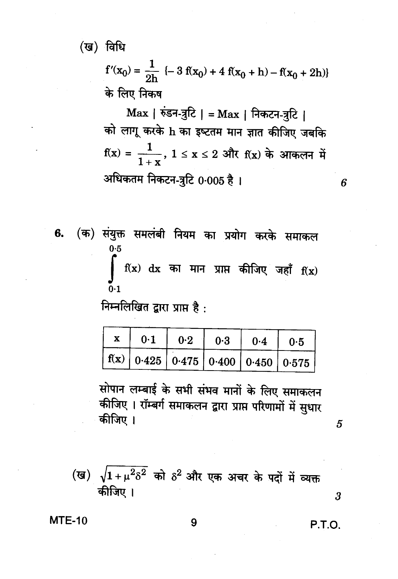(ख) विधि

 $f'(x_0) = \frac{1}{2h}$  {- 3 f(x<sub>0</sub>) + 4 f(x<sub>0</sub> + h) - f(x<sub>0</sub> + 2h)} के लिए निकष

Max | रुंडन-त्रुटि | = Max | निकटन-त्रुटि | को लागू करके h का इष्टतम मान ज्ञात कीजिए जबकि  $f(x) = \frac{1}{1+x}$ ,  $1 \le x \le 2$  और  $f(x)$  के आकलन में अधिकतम निकटन-त्रटि 0.005 है।

(क) संयुक्त समलंबी नियम का प्रयोग करके समाकल 6.  $0.5$  $\int f(x) dx$  का मान प्राप्त कीजिए जहाँ  $f(x)$  $0.1$ 

निम्नलिखित द्वारा प्राप्त है:

| 0.1                                                                     | 0.2 | 0.3 | 10.410.5 |  |
|-------------------------------------------------------------------------|-----|-----|----------|--|
| $\mid f(x) \mid 0.425 \mid 0.475 \mid 0.400 \mid 0.450 \mid 0.575 \mid$ |     |     |          |  |

सोपान लम्बाई के सभी संभव मानों के लिए समाकलन कीजिए । रॉम्बर्ग समाकलन द्वारा प्राप्त परिणामों में सुधार कीजिए ।

5

 $\boldsymbol{\beta}$ 

6

(ख)  $\sqrt{1+\mu^2\delta^2}$  को  $\delta^2$  और एक अचर के पदों में व्यक्त कीजिए ।

#### **MTE-10**

**P.T.O.**